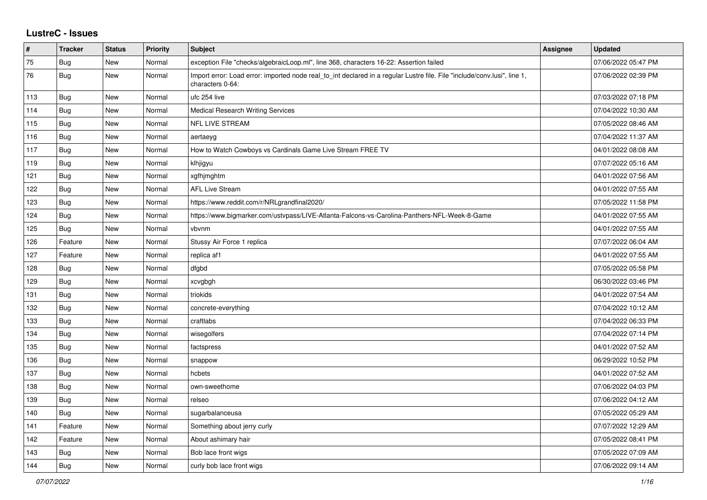## **LustreC - Issues**

| #   | <b>Tracker</b> | <b>Status</b> | <b>Priority</b> | <b>Subject</b>                                                                                                                               | <b>Assignee</b> | <b>Updated</b>      |
|-----|----------------|---------------|-----------------|----------------------------------------------------------------------------------------------------------------------------------------------|-----------------|---------------------|
| 75  | <b>Bug</b>     | <b>New</b>    | Normal          | exception File "checks/algebraicLoop.ml", line 368, characters 16-22: Assertion failed                                                       |                 | 07/06/2022 05:47 PM |
| 76  | Bug            | <b>New</b>    | Normal          | Import error: Load error: imported node real to int declared in a regular Lustre file. File "include/conv.lusi", line 1,<br>characters 0-64: |                 | 07/06/2022 02:39 PM |
| 113 | <b>Bug</b>     | <b>New</b>    | Normal          | ufc 254 live                                                                                                                                 |                 | 07/03/2022 07:18 PM |
| 114 | Bug            | <b>New</b>    | Normal          | <b>Medical Research Writing Services</b>                                                                                                     |                 | 07/04/2022 10:30 AM |
| 115 | Bug            | <b>New</b>    | Normal          | <b>NFL LIVE STREAM</b>                                                                                                                       |                 | 07/05/2022 08:46 AM |
| 116 | <b>Bug</b>     | <b>New</b>    | Normal          | aertaeyg                                                                                                                                     |                 | 07/04/2022 11:37 AM |
| 117 | <b>Bug</b>     | <b>New</b>    | Normal          | How to Watch Cowboys vs Cardinals Game Live Stream FREE TV                                                                                   |                 | 04/01/2022 08:08 AM |
| 119 | Bug            | <b>New</b>    | Normal          | klhjigyu                                                                                                                                     |                 | 07/07/2022 05:16 AM |
| 121 | <b>Bug</b>     | <b>New</b>    | Normal          | xgfhjmghtm                                                                                                                                   |                 | 04/01/2022 07:56 AM |
| 122 | Bug            | <b>New</b>    | Normal          | <b>AFL Live Stream</b>                                                                                                                       |                 | 04/01/2022 07:55 AM |
| 123 | <b>Bug</b>     | <b>New</b>    | Normal          | https://www.reddit.com/r/NRLgrandfinal2020/                                                                                                  |                 | 07/05/2022 11:58 PM |
| 124 | <b>Bug</b>     | <b>New</b>    | Normal          | https://www.bigmarker.com/ustvpass/LIVE-Atlanta-Falcons-vs-Carolina-Panthers-NFL-Week-8-Game                                                 |                 | 04/01/2022 07:55 AM |
| 125 | <b>Bug</b>     | <b>New</b>    | Normal          | vbvnm                                                                                                                                        |                 | 04/01/2022 07:55 AM |
| 126 | Feature        | <b>New</b>    | Normal          | Stussy Air Force 1 replica                                                                                                                   |                 | 07/07/2022 06:04 AM |
| 127 | Feature        | <b>New</b>    | Normal          | replica af1                                                                                                                                  |                 | 04/01/2022 07:55 AM |
| 128 | <b>Bug</b>     | <b>New</b>    | Normal          | dfgbd                                                                                                                                        |                 | 07/05/2022 05:58 PM |
| 129 | <b>Bug</b>     | <b>New</b>    | Normal          | xcvgbgh                                                                                                                                      |                 | 06/30/2022 03:46 PM |
| 131 | Bug            | <b>New</b>    | Normal          | triokids                                                                                                                                     |                 | 04/01/2022 07:54 AM |
| 132 | <b>Bug</b>     | <b>New</b>    | Normal          | concrete-everything                                                                                                                          |                 | 07/04/2022 10:12 AM |
| 133 | <b>Bug</b>     | <b>New</b>    | Normal          | craftlabs                                                                                                                                    |                 | 07/04/2022 06:33 PM |
| 134 | <b>Bug</b>     | <b>New</b>    | Normal          | wisegolfers                                                                                                                                  |                 | 07/04/2022 07:14 PM |
| 135 | <b>Bug</b>     | <b>New</b>    | Normal          | factspress                                                                                                                                   |                 | 04/01/2022 07:52 AM |
| 136 | <b>Bug</b>     | <b>New</b>    | Normal          | snappow                                                                                                                                      |                 | 06/29/2022 10:52 PM |
| 137 | Bug            | <b>New</b>    | Normal          | hcbets                                                                                                                                       |                 | 04/01/2022 07:52 AM |
| 138 | <b>Bug</b>     | <b>New</b>    | Normal          | own-sweethome                                                                                                                                |                 | 07/06/2022 04:03 PM |
| 139 | <b>Bug</b>     | <b>New</b>    | Normal          | relseo                                                                                                                                       |                 | 07/06/2022 04:12 AM |
| 140 | <b>Bug</b>     | <b>New</b>    | Normal          | sugarbalanceusa                                                                                                                              |                 | 07/05/2022 05:29 AM |
| 141 | Feature        | <b>New</b>    | Normal          | Something about jerry curly                                                                                                                  |                 | 07/07/2022 12:29 AM |
| 142 | Feature        | <b>New</b>    | Normal          | About ashimary hair                                                                                                                          |                 | 07/05/2022 08:41 PM |
| 143 | Bug            | <b>New</b>    | Normal          | Bob lace front wigs                                                                                                                          |                 | 07/05/2022 07:09 AM |
| 144 | <b>Bug</b>     | <b>New</b>    | Normal          | curly bob lace front wigs                                                                                                                    |                 | 07/06/2022 09:14 AM |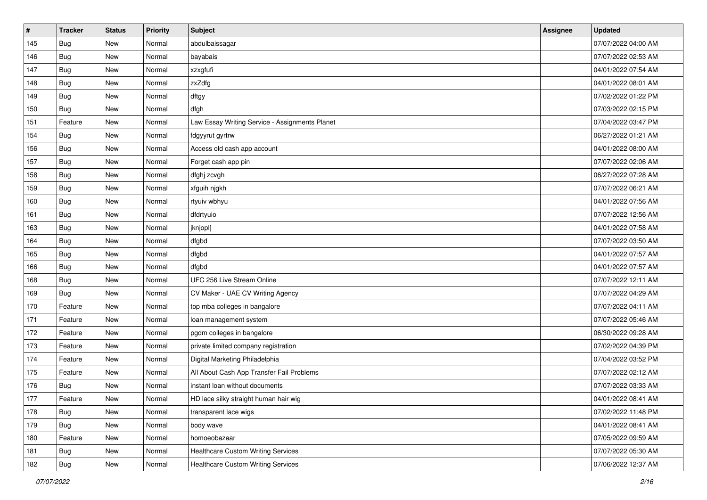| $\vert$ # | <b>Tracker</b> | <b>Status</b> | Priority | Subject                                        | <b>Assignee</b> | <b>Updated</b>      |
|-----------|----------------|---------------|----------|------------------------------------------------|-----------------|---------------------|
| 145       | Bug            | New           | Normal   | abdulbaissagar                                 |                 | 07/07/2022 04:00 AM |
| 146       | Bug            | <b>New</b>    | Normal   | bayabais                                       |                 | 07/07/2022 02:53 AM |
| 147       | Bug            | <b>New</b>    | Normal   | xzxgfufi                                       |                 | 04/01/2022 07:54 AM |
| 148       | Bug            | <b>New</b>    | Normal   | zxZdfg                                         |                 | 04/01/2022 08:01 AM |
| 149       | Bug            | <b>New</b>    | Normal   | dftgy                                          |                 | 07/02/2022 01:22 PM |
| 150       | Bug            | <b>New</b>    | Normal   | dfgh                                           |                 | 07/03/2022 02:15 PM |
| 151       | Feature        | <b>New</b>    | Normal   | Law Essay Writing Service - Assignments Planet |                 | 07/04/2022 03:47 PM |
| 154       | Bug            | <b>New</b>    | Normal   | fdgyyrut gyrtrw                                |                 | 06/27/2022 01:21 AM |
| 156       | Bug            | <b>New</b>    | Normal   | Access old cash app account                    |                 | 04/01/2022 08:00 AM |
| 157       | Bug            | <b>New</b>    | Normal   | Forget cash app pin                            |                 | 07/07/2022 02:06 AM |
| 158       | Bug            | <b>New</b>    | Normal   | dfghj zcvgh                                    |                 | 06/27/2022 07:28 AM |
| 159       | Bug            | <b>New</b>    | Normal   | xfguih njgkh                                   |                 | 07/07/2022 06:21 AM |
| 160       | <b>Bug</b>     | <b>New</b>    | Normal   | rtyuiv wbhyu                                   |                 | 04/01/2022 07:56 AM |
| 161       | <b>Bug</b>     | <b>New</b>    | Normal   | dfdrtyuio                                      |                 | 07/07/2022 12:56 AM |
| 163       | Bug            | <b>New</b>    | Normal   | jknjopl[                                       |                 | 04/01/2022 07:58 AM |
| 164       | Bug            | <b>New</b>    | Normal   | dfgbd                                          |                 | 07/07/2022 03:50 AM |
| 165       | Bug            | <b>New</b>    | Normal   | dfgbd                                          |                 | 04/01/2022 07:57 AM |
| 166       | Bug            | <b>New</b>    | Normal   | dfgbd                                          |                 | 04/01/2022 07:57 AM |
| 168       | Bug            | <b>New</b>    | Normal   | UFC 256 Live Stream Online                     |                 | 07/07/2022 12:11 AM |
| 169       | Bug            | <b>New</b>    | Normal   | CV Maker - UAE CV Writing Agency               |                 | 07/07/2022 04:29 AM |
| 170       | Feature        | <b>New</b>    | Normal   | top mba colleges in bangalore                  |                 | 07/07/2022 04:11 AM |
| 171       | Feature        | <b>New</b>    | Normal   | loan management system                         |                 | 07/07/2022 05:46 AM |
| 172       | Feature        | <b>New</b>    | Normal   | pgdm colleges in bangalore                     |                 | 06/30/2022 09:28 AM |
| 173       | Feature        | <b>New</b>    | Normal   | private limited company registration           |                 | 07/02/2022 04:39 PM |
| 174       | Feature        | <b>New</b>    | Normal   | Digital Marketing Philadelphia                 |                 | 07/04/2022 03:52 PM |
| 175       | Feature        | <b>New</b>    | Normal   | All About Cash App Transfer Fail Problems      |                 | 07/07/2022 02:12 AM |
| 176       | Bug            | <b>New</b>    | Normal   | instant loan without documents                 |                 | 07/07/2022 03:33 AM |
| 177       | Feature        | New           | Normal   | HD lace silky straight human hair wig          |                 | 04/01/2022 08:41 AM |
| 178       | Bug            | New           | Normal   | transparent lace wigs                          |                 | 07/02/2022 11:48 PM |
| 179       | Bug            | New           | Normal   | body wave                                      |                 | 04/01/2022 08:41 AM |
| 180       | Feature        | New           | Normal   | homoeobazaar                                   |                 | 07/05/2022 09:59 AM |
| 181       | <b>Bug</b>     | New           | Normal   | <b>Healthcare Custom Writing Services</b>      |                 | 07/07/2022 05:30 AM |
| 182       | <b>Bug</b>     | New           | Normal   | Healthcare Custom Writing Services             |                 | 07/06/2022 12:37 AM |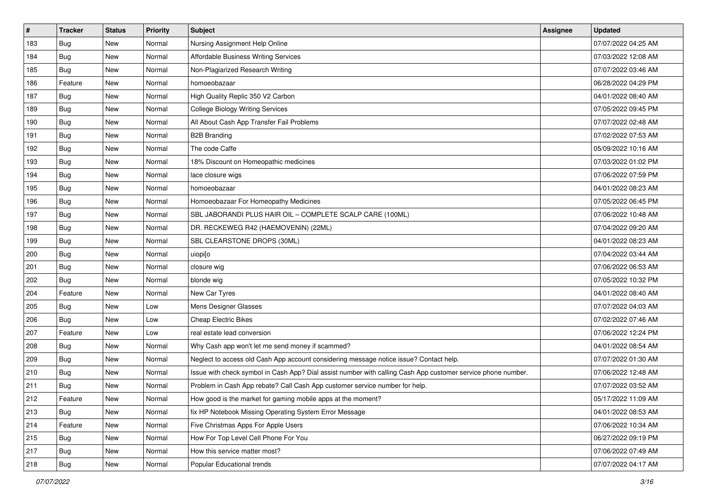| $\pmb{\#}$ | Tracker    | <b>Status</b> | <b>Priority</b> | Subject                                                                                                      | Assignee | <b>Updated</b>      |
|------------|------------|---------------|-----------------|--------------------------------------------------------------------------------------------------------------|----------|---------------------|
| 183        | Bug        | New           | Normal          | Nursing Assignment Help Online                                                                               |          | 07/07/2022 04:25 AM |
| 184        | <b>Bug</b> | <b>New</b>    | Normal          | Affordable Business Writing Services                                                                         |          | 07/03/2022 12:08 AM |
| 185        | Bug        | New           | Normal          | Non-Plagiarized Research Writing                                                                             |          | 07/07/2022 03:46 AM |
| 186        | Feature    | New           | Normal          | homoeobazaar                                                                                                 |          | 06/28/2022 04:29 PM |
| 187        | <b>Bug</b> | <b>New</b>    | Normal          | High Quality Replic 350 V2 Carbon                                                                            |          | 04/01/2022 08:40 AM |
| 189        | <b>Bug</b> | New           | Normal          | <b>College Biology Writing Services</b>                                                                      |          | 07/05/2022 09:45 PM |
| 190        | Bug        | New           | Normal          | All About Cash App Transfer Fail Problems                                                                    |          | 07/07/2022 02:48 AM |
| 191        | <b>Bug</b> | New           | Normal          | <b>B2B Branding</b>                                                                                          |          | 07/02/2022 07:53 AM |
| 192        | <b>Bug</b> | New           | Normal          | The code Caffe                                                                                               |          | 05/09/2022 10:16 AM |
| 193        | Bug        | <b>New</b>    | Normal          | 18% Discount on Homeopathic medicines                                                                        |          | 07/03/2022 01:02 PM |
| 194        | <b>Bug</b> | New           | Normal          | lace closure wigs                                                                                            |          | 07/06/2022 07:59 PM |
| 195        | <b>Bug</b> | New           | Normal          | homoeobazaar                                                                                                 |          | 04/01/2022 08:23 AM |
| 196        | <b>Bug</b> | New           | Normal          | Homoeobazaar For Homeopathy Medicines                                                                        |          | 07/05/2022 06:45 PM |
| 197        | <b>Bug</b> | New           | Normal          | SBL JABORANDI PLUS HAIR OIL - COMPLETE SCALP CARE (100ML)                                                    |          | 07/06/2022 10:48 AM |
| 198        | Bug        | <b>New</b>    | Normal          | DR. RECKEWEG R42 (HAEMOVENIN) (22ML)                                                                         |          | 07/04/2022 09:20 AM |
| 199        | Bug        | New           | Normal          | SBL CLEARSTONE DROPS (30ML)                                                                                  |          | 04/01/2022 08:23 AM |
| 200        | <b>Bug</b> | New           | Normal          | uiopi[o                                                                                                      |          | 07/04/2022 03:44 AM |
| 201        | Bug        | <b>New</b>    | Normal          | closure wig                                                                                                  |          | 07/06/2022 06:53 AM |
| 202        | <b>Bug</b> | New           | Normal          | blonde wig                                                                                                   |          | 07/05/2022 10:32 PM |
| 204        | Feature    | <b>New</b>    | Normal          | New Car Tyres                                                                                                |          | 04/01/2022 08:40 AM |
| 205        | <b>Bug</b> | New           | Low             | Mens Designer Glasses                                                                                        |          | 07/07/2022 04:03 AM |
| 206        | <b>Bug</b> | New           | Low             | <b>Cheap Electric Bikes</b>                                                                                  |          | 07/02/2022 07:46 AM |
| 207        | Feature    | <b>New</b>    | Low             | real estate lead conversion                                                                                  |          | 07/06/2022 12:24 PM |
| 208        | <b>Bug</b> | New           | Normal          | Why Cash app won't let me send money if scammed?                                                             |          | 04/01/2022 08:54 AM |
| 209        | <b>Bug</b> | New           | Normal          | Neglect to access old Cash App account considering message notice issue? Contact help.                       |          | 07/07/2022 01:30 AM |
| 210        | <b>Bug</b> | New           | Normal          | Issue with check symbol in Cash App? Dial assist number with calling Cash App customer service phone number. |          | 07/06/2022 12:48 AM |
| 211        | <b>Bug</b> | New           | Normal          | Problem in Cash App rebate? Call Cash App customer service number for help.                                  |          | 07/07/2022 03:52 AM |
| 212        | Feature    | New           | Normal          | How good is the market for gaming mobile apps at the moment?                                                 |          | 05/17/2022 11:09 AM |
| 213        | Bug        | New           | Normal          | fix HP Notebook Missing Operating System Error Message                                                       |          | 04/01/2022 08:53 AM |
| 214        | Feature    | New           | Normal          | Five Christmas Apps For Apple Users                                                                          |          | 07/06/2022 10:34 AM |
| 215        | Bug        | New           | Normal          | How For Top Level Cell Phone For You                                                                         |          | 06/27/2022 09:19 PM |
| 217        | Bug        | New           | Normal          | How this service matter most?                                                                                |          | 07/06/2022 07:49 AM |
| 218        | <b>Bug</b> | New           | Normal          | Popular Educational trends                                                                                   |          | 07/07/2022 04:17 AM |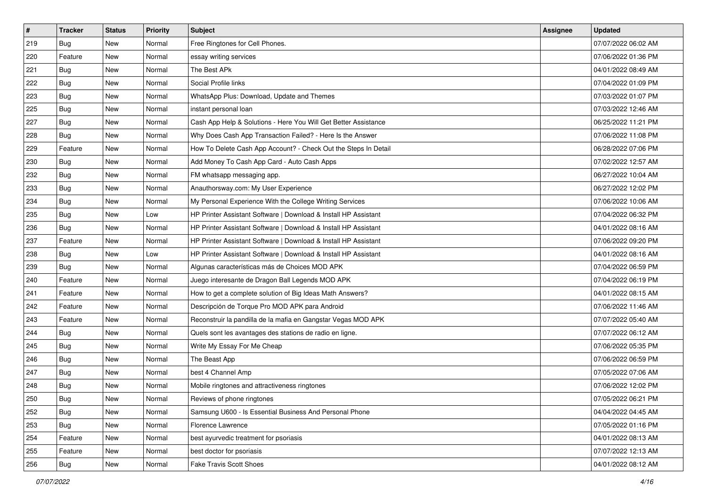| $\vert$ # | <b>Tracker</b> | <b>Status</b> | <b>Priority</b> | Subject                                                         | Assignee | <b>Updated</b>      |
|-----------|----------------|---------------|-----------------|-----------------------------------------------------------------|----------|---------------------|
| 219       | <b>Bug</b>     | New           | Normal          | Free Ringtones for Cell Phones.                                 |          | 07/07/2022 06:02 AM |
| 220       | Feature        | New           | Normal          | essay writing services                                          |          | 07/06/2022 01:36 PM |
| 221       | <b>Bug</b>     | New           | Normal          | The Best APk                                                    |          | 04/01/2022 08:49 AM |
| 222       | Bug            | New           | Normal          | Social Profile links                                            |          | 07/04/2022 01:09 PM |
| 223       | Bug            | <b>New</b>    | Normal          | WhatsApp Plus: Download, Update and Themes                      |          | 07/03/2022 01:07 PM |
| 225       | <b>Bug</b>     | New           | Normal          | instant personal loan                                           |          | 07/03/2022 12:46 AM |
| 227       | Bug            | New           | Normal          | Cash App Help & Solutions - Here You Will Get Better Assistance |          | 06/25/2022 11:21 PM |
| 228       | Bug            | New           | Normal          | Why Does Cash App Transaction Failed? - Here Is the Answer      |          | 07/06/2022 11:08 PM |
| 229       | Feature        | <b>New</b>    | Normal          | How To Delete Cash App Account? - Check Out the Steps In Detail |          | 06/28/2022 07:06 PM |
| 230       | Bug            | <b>New</b>    | Normal          | Add Money To Cash App Card - Auto Cash Apps                     |          | 07/02/2022 12:57 AM |
| 232       | Bug            | New           | Normal          | FM whatsapp messaging app.                                      |          | 06/27/2022 10:04 AM |
| 233       | Bug            | New           | Normal          | Anauthorsway.com: My User Experience                            |          | 06/27/2022 12:02 PM |
| 234       | Bug            | <b>New</b>    | Normal          | My Personal Experience With the College Writing Services        |          | 07/06/2022 10:06 AM |
| 235       | Bug            | <b>New</b>    | Low             | HP Printer Assistant Software   Download & Install HP Assistant |          | 07/04/2022 06:32 PM |
| 236       | Bug            | New           | Normal          | HP Printer Assistant Software   Download & Install HP Assistant |          | 04/01/2022 08:16 AM |
| 237       | Feature        | New           | Normal          | HP Printer Assistant Software   Download & Install HP Assistant |          | 07/06/2022 09:20 PM |
| 238       | Bug            | <b>New</b>    | Low             | HP Printer Assistant Software   Download & Install HP Assistant |          | 04/01/2022 08:16 AM |
| 239       | Bug            | <b>New</b>    | Normal          | Algunas características más de Choices MOD APK                  |          | 07/04/2022 06:59 PM |
| 240       | Feature        | New           | Normal          | Juego interesante de Dragon Ball Legends MOD APK                |          | 07/04/2022 06:19 PM |
| 241       | Feature        | New           | Normal          | How to get a complete solution of Big Ideas Math Answers?       |          | 04/01/2022 08:15 AM |
| 242       | Feature        | New           | Normal          | Descripción de Torque Pro MOD APK para Android                  |          | 07/06/2022 11:46 AM |
| 243       | Feature        | <b>New</b>    | Normal          | Reconstruir la pandilla de la mafia en Gangstar Vegas MOD APK   |          | 07/07/2022 05:40 AM |
| 244       | Bug            | <b>New</b>    | Normal          | Quels sont les avantages des stations de radio en ligne.        |          | 07/07/2022 06:12 AM |
| 245       | Bug            | New           | Normal          | Write My Essay For Me Cheap                                     |          | 07/06/2022 05:35 PM |
| 246       | Bug            | New           | Normal          | The Beast App                                                   |          | 07/06/2022 06:59 PM |
| 247       | <b>Bug</b>     | <b>New</b>    | Normal          | best 4 Channel Amp                                              |          | 07/05/2022 07:06 AM |
| 248       | <b>Bug</b>     | New           | Normal          | Mobile ringtones and attractiveness ringtones                   |          | 07/06/2022 12:02 PM |
| 250       | Bug            | New           | Normal          | Reviews of phone ringtones                                      |          | 07/05/2022 06:21 PM |
| 252       | Bug            | New           | Normal          | Samsung U600 - Is Essential Business And Personal Phone         |          | 04/04/2022 04:45 AM |
| 253       | Bug            | New           | Normal          | Florence Lawrence                                               |          | 07/05/2022 01:16 PM |
| 254       | Feature        | New           | Normal          | best ayurvedic treatment for psoriasis                          |          | 04/01/2022 08:13 AM |
| 255       | Feature        | New           | Normal          | best doctor for psoriasis                                       |          | 07/07/2022 12:13 AM |
| 256       | <b>Bug</b>     | New           | Normal          | Fake Travis Scott Shoes                                         |          | 04/01/2022 08:12 AM |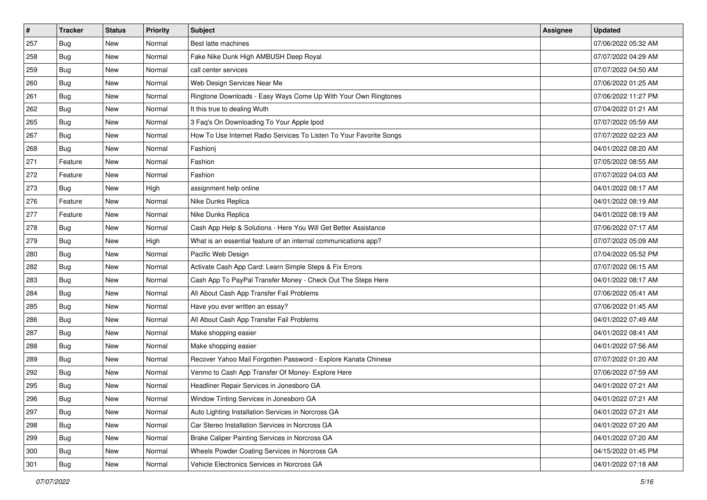| $\vert$ # | <b>Tracker</b> | <b>Status</b> | <b>Priority</b> | <b>Subject</b>                                                      | <b>Assignee</b> | <b>Updated</b>      |
|-----------|----------------|---------------|-----------------|---------------------------------------------------------------------|-----------------|---------------------|
| 257       | <b>Bug</b>     | New           | Normal          | Best latte machines                                                 |                 | 07/06/2022 05:32 AM |
| 258       | Bug            | New           | Normal          | Fake Nike Dunk High AMBUSH Deep Royal                               |                 | 07/07/2022 04:29 AM |
| 259       | Bug            | New           | Normal          | call center services                                                |                 | 07/07/2022 04:50 AM |
| 260       | Bug            | New           | Normal          | Web Design Services Near Me                                         |                 | 07/06/2022 01:25 AM |
| 261       | <b>Bug</b>     | <b>New</b>    | Normal          | Ringtone Downloads - Easy Ways Come Up With Your Own Ringtones      |                 | 07/06/2022 11:27 PM |
| 262       | Bug            | New           | Normal          | It this true to dealing Wuth                                        |                 | 07/04/2022 01:21 AM |
| 265       | Bug            | New           | Normal          | 3 Faq's On Downloading To Your Apple Ipod                           |                 | 07/07/2022 05:59 AM |
| 267       | Bug            | New           | Normal          | How To Use Internet Radio Services To Listen To Your Favorite Songs |                 | 07/07/2022 02:23 AM |
| 268       | Bug            | <b>New</b>    | Normal          | Fashioni                                                            |                 | 04/01/2022 08:20 AM |
| 271       | Feature        | <b>New</b>    | Normal          | Fashion                                                             |                 | 07/05/2022 08:55 AM |
| 272       | Feature        | New           | Normal          | Fashion                                                             |                 | 07/07/2022 04:03 AM |
| 273       | Bug            | New           | High            | assignment help online                                              |                 | 04/01/2022 08:17 AM |
| 276       | Feature        | <b>New</b>    | Normal          | Nike Dunks Replica                                                  |                 | 04/01/2022 08:19 AM |
| 277       | Feature        | New           | Normal          | Nike Dunks Replica                                                  |                 | 04/01/2022 08:19 AM |
| 278       | Bug            | New           | Normal          | Cash App Help & Solutions - Here You Will Get Better Assistance     |                 | 07/06/2022 07:17 AM |
| 279       | Bug            | New           | High            | What is an essential feature of an internal communications app?     |                 | 07/07/2022 05:09 AM |
| 280       | Bug            | New           | Normal          | Pacific Web Design                                                  |                 | 07/04/2022 05:52 PM |
| 282       | Bug            | <b>New</b>    | Normal          | Activate Cash App Card: Learn Simple Steps & Fix Errors             |                 | 07/07/2022 06:15 AM |
| 283       | <b>Bug</b>     | New           | Normal          | Cash App To PayPal Transfer Money - Check Out The Steps Here        |                 | 04/01/2022 08:17 AM |
| 284       | Bug            | New           | Normal          | All About Cash App Transfer Fail Problems                           |                 | 07/06/2022 05:41 AM |
| 285       | <b>Bug</b>     | New           | Normal          | Have you ever written an essay?                                     |                 | 07/06/2022 01:45 AM |
| 286       | Bug            | <b>New</b>    | Normal          | All About Cash App Transfer Fail Problems                           |                 | 04/01/2022 07:49 AM |
| 287       | Bug            | <b>New</b>    | Normal          | Make shopping easier                                                |                 | 04/01/2022 08:41 AM |
| 288       | Bug            | New           | Normal          | Make shopping easier                                                |                 | 04/01/2022 07:56 AM |
| 289       | Bug            | New           | Normal          | Recover Yahoo Mail Forgotten Password - Explore Kanata Chinese      |                 | 07/07/2022 01:20 AM |
| 292       | Bug            | <b>New</b>    | Normal          | Venmo to Cash App Transfer Of Money- Explore Here                   |                 | 07/06/2022 07:59 AM |
| 295       | <b>Bug</b>     | New           | Normal          | Headliner Repair Services in Jonesboro GA                           |                 | 04/01/2022 07:21 AM |
| 296       | Bug            | New           | Normal          | Window Tinting Services in Jonesboro GA                             |                 | 04/01/2022 07:21 AM |
| 297       | Bug            | New           | Normal          | Auto Lighting Installation Services in Norcross GA                  |                 | 04/01/2022 07:21 AM |
| 298       | <b>Bug</b>     | New           | Normal          | Car Stereo Installation Services in Norcross GA                     |                 | 04/01/2022 07:20 AM |
| 299       | <b>Bug</b>     | New           | Normal          | Brake Caliper Painting Services in Norcross GA                      |                 | 04/01/2022 07:20 AM |
| 300       | <b>Bug</b>     | New           | Normal          | Wheels Powder Coating Services in Norcross GA                       |                 | 04/15/2022 01:45 PM |
| 301       | <b>Bug</b>     | New           | Normal          | Vehicle Electronics Services in Norcross GA                         |                 | 04/01/2022 07:18 AM |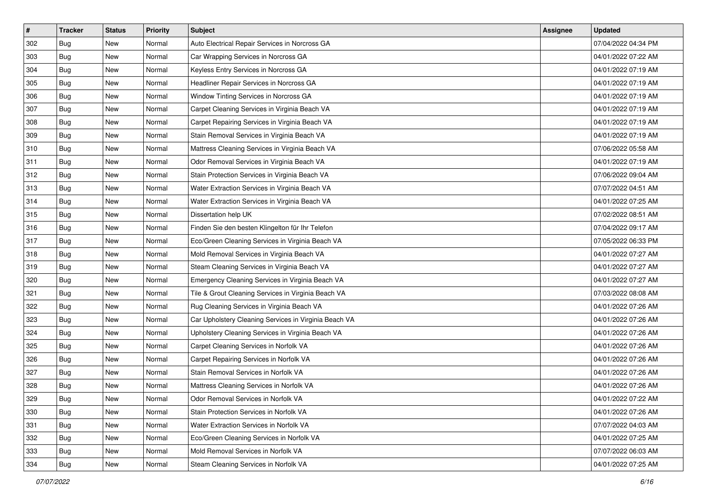| $\vert$ # | <b>Tracker</b> | <b>Status</b> | <b>Priority</b> | Subject                                               | <b>Assignee</b> | <b>Updated</b>      |
|-----------|----------------|---------------|-----------------|-------------------------------------------------------|-----------------|---------------------|
| 302       | <b>Bug</b>     | New           | Normal          | Auto Electrical Repair Services in Norcross GA        |                 | 07/04/2022 04:34 PM |
| 303       | <b>Bug</b>     | New           | Normal          | Car Wrapping Services in Norcross GA                  |                 | 04/01/2022 07:22 AM |
| 304       | Bug            | New           | Normal          | Keyless Entry Services in Norcross GA                 |                 | 04/01/2022 07:19 AM |
| 305       | Bug            | New           | Normal          | Headliner Repair Services in Norcross GA              |                 | 04/01/2022 07:19 AM |
| 306       | <b>Bug</b>     | <b>New</b>    | Normal          | Window Tinting Services in Norcross GA                |                 | 04/01/2022 07:19 AM |
| 307       | <b>Bug</b>     | New           | Normal          | Carpet Cleaning Services in Virginia Beach VA         |                 | 04/01/2022 07:19 AM |
| 308       | Bug            | New           | Normal          | Carpet Repairing Services in Virginia Beach VA        |                 | 04/01/2022 07:19 AM |
| 309       | Bug            | New           | Normal          | Stain Removal Services in Virginia Beach VA           |                 | 04/01/2022 07:19 AM |
| 310       | Bug            | New           | Normal          | Mattress Cleaning Services in Virginia Beach VA       |                 | 07/06/2022 05:58 AM |
| 311       | <b>Bug</b>     | <b>New</b>    | Normal          | Odor Removal Services in Virginia Beach VA            |                 | 04/01/2022 07:19 AM |
| 312       | Bug            | New           | Normal          | Stain Protection Services in Virginia Beach VA        |                 | 07/06/2022 09:04 AM |
| 313       | Bug            | New           | Normal          | Water Extraction Services in Virginia Beach VA        |                 | 07/07/2022 04:51 AM |
| 314       | Bug            | New           | Normal          | Water Extraction Services in Virginia Beach VA        |                 | 04/01/2022 07:25 AM |
| 315       | Bug            | <b>New</b>    | Normal          | Dissertation help UK                                  |                 | 07/02/2022 08:51 AM |
| 316       | <b>Bug</b>     | New           | Normal          | Finden Sie den besten Klingelton für Ihr Telefon      |                 | 07/04/2022 09:17 AM |
| 317       | Bug            | New           | Normal          | Eco/Green Cleaning Services in Virginia Beach VA      |                 | 07/05/2022 06:33 PM |
| 318       | Bug            | New           | Normal          | Mold Removal Services in Virginia Beach VA            |                 | 04/01/2022 07:27 AM |
| 319       | Bug            | <b>New</b>    | Normal          | Steam Cleaning Services in Virginia Beach VA          |                 | 04/01/2022 07:27 AM |
| 320       | <b>Bug</b>     | New           | Normal          | Emergency Cleaning Services in Virginia Beach VA      |                 | 04/01/2022 07:27 AM |
| 321       | <b>Bug</b>     | New           | Normal          | Tile & Grout Cleaning Services in Virginia Beach VA   |                 | 07/03/2022 08:08 AM |
| 322       | <b>Bug</b>     | New           | Normal          | Rug Cleaning Services in Virginia Beach VA            |                 | 04/01/2022 07:26 AM |
| 323       | <b>Bug</b>     | New           | Normal          | Car Upholstery Cleaning Services in Virginia Beach VA |                 | 04/01/2022 07:26 AM |
| 324       | Bug            | <b>New</b>    | Normal          | Upholstery Cleaning Services in Virginia Beach VA     |                 | 04/01/2022 07:26 AM |
| 325       | <b>Bug</b>     | New           | Normal          | Carpet Cleaning Services in Norfolk VA                |                 | 04/01/2022 07:26 AM |
| 326       | <b>Bug</b>     | New           | Normal          | Carpet Repairing Services in Norfolk VA               |                 | 04/01/2022 07:26 AM |
| 327       | Bug            | New           | Normal          | Stain Removal Services in Norfolk VA                  |                 | 04/01/2022 07:26 AM |
| 328       | <b>Bug</b>     | New           | Normal          | Mattress Cleaning Services in Norfolk VA              |                 | 04/01/2022 07:26 AM |
| 329       | I Bug          | New           | Normal          | Odor Removal Services in Norfolk VA                   |                 | 04/01/2022 07:22 AM |
| 330       | Bug            | New           | Normal          | Stain Protection Services in Norfolk VA               |                 | 04/01/2022 07:26 AM |
| 331       | <b>Bug</b>     | New           | Normal          | Water Extraction Services in Norfolk VA               |                 | 07/07/2022 04:03 AM |
| 332       | <b>Bug</b>     | New           | Normal          | Eco/Green Cleaning Services in Norfolk VA             |                 | 04/01/2022 07:25 AM |
| 333       | <b>Bug</b>     | New           | Normal          | Mold Removal Services in Norfolk VA                   |                 | 07/07/2022 06:03 AM |
| 334       | <b>Bug</b>     | New           | Normal          | Steam Cleaning Services in Norfolk VA                 |                 | 04/01/2022 07:25 AM |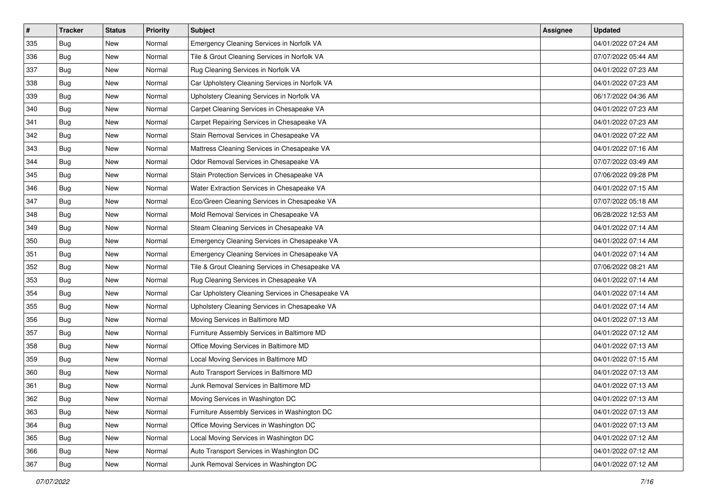| $\vert$ # | <b>Tracker</b> | <b>Status</b> | <b>Priority</b> | Subject                                           | <b>Assignee</b> | <b>Updated</b>      |
|-----------|----------------|---------------|-----------------|---------------------------------------------------|-----------------|---------------------|
| 335       | Bug            | New           | Normal          | Emergency Cleaning Services in Norfolk VA         |                 | 04/01/2022 07:24 AM |
| 336       | Bug            | New           | Normal          | Tile & Grout Cleaning Services in Norfolk VA      |                 | 07/07/2022 05:44 AM |
| 337       | Bug            | New           | Normal          | Rug Cleaning Services in Norfolk VA               |                 | 04/01/2022 07:23 AM |
| 338       | <b>Bug</b>     | New           | Normal          | Car Upholstery Cleaning Services in Norfolk VA    |                 | 04/01/2022 07:23 AM |
| 339       | <b>Bug</b>     | <b>New</b>    | Normal          | Upholstery Cleaning Services in Norfolk VA        |                 | 06/17/2022 04:36 AM |
| 340       | Bug            | New           | Normal          | Carpet Cleaning Services in Chesapeake VA         |                 | 04/01/2022 07:23 AM |
| 341       | <b>Bug</b>     | New           | Normal          | Carpet Repairing Services in Chesapeake VA        |                 | 04/01/2022 07:23 AM |
| 342       | Bug            | New           | Normal          | Stain Removal Services in Chesapeake VA           |                 | 04/01/2022 07:22 AM |
| 343       | <b>Bug</b>     | New           | Normal          | Mattress Cleaning Services in Chesapeake VA       |                 | 04/01/2022 07:16 AM |
| 344       | Bug            | <b>New</b>    | Normal          | Odor Removal Services in Chesapeake VA            |                 | 07/07/2022 03:49 AM |
| 345       | Bug            | New           | Normal          | Stain Protection Services in Chesapeake VA        |                 | 07/06/2022 09:28 PM |
| 346       | <b>Bug</b>     | New           | Normal          | Water Extraction Services in Chesapeake VA        |                 | 04/01/2022 07:15 AM |
| 347       | Bug            | <b>New</b>    | Normal          | Eco/Green Cleaning Services in Chesapeake VA      |                 | 07/07/2022 05:18 AM |
| 348       | <b>Bug</b>     | New           | Normal          | Mold Removal Services in Chesapeake VA            |                 | 06/28/2022 12:53 AM |
| 349       | <b>Bug</b>     | New           | Normal          | Steam Cleaning Services in Chesapeake VA          |                 | 04/01/2022 07:14 AM |
| 350       | Bug            | New           | Normal          | Emergency Cleaning Services in Chesapeake VA      |                 | 04/01/2022 07:14 AM |
| 351       | <b>Bug</b>     | New           | Normal          | Emergency Cleaning Services in Chesapeake VA      |                 | 04/01/2022 07:14 AM |
| 352       | <b>Bug</b>     | <b>New</b>    | Normal          | Tile & Grout Cleaning Services in Chesapeake VA   |                 | 07/06/2022 08:21 AM |
| 353       | <b>Bug</b>     | New           | Normal          | Rug Cleaning Services in Chesapeake VA            |                 | 04/01/2022 07:14 AM |
| 354       | <b>Bug</b>     | New           | Normal          | Car Upholstery Cleaning Services in Chesapeake VA |                 | 04/01/2022 07:14 AM |
| 355       | Bug            | New           | Normal          | Upholstery Cleaning Services in Chesapeake VA     |                 | 04/01/2022 07:14 AM |
| 356       | <b>Bug</b>     | <b>New</b>    | Normal          | Moving Services in Baltimore MD                   |                 | 04/01/2022 07:13 AM |
| 357       | <b>Bug</b>     | <b>New</b>    | Normal          | Furniture Assembly Services in Baltimore MD       |                 | 04/01/2022 07:12 AM |
| 358       | Bug            | New           | Normal          | Office Moving Services in Baltimore MD            |                 | 04/01/2022 07:13 AM |
| 359       | <b>Bug</b>     | New           | Normal          | Local Moving Services in Baltimore MD             |                 | 04/01/2022 07:15 AM |
| 360       | <b>Bug</b>     | <b>New</b>    | Normal          | Auto Transport Services in Baltimore MD           |                 | 04/01/2022 07:13 AM |
| 361       | <b>Bug</b>     | New           | Normal          | Junk Removal Services in Baltimore MD             |                 | 04/01/2022 07:13 AM |
| 362       | <b>Bug</b>     | New           | Normal          | Moving Services in Washington DC                  |                 | 04/01/2022 07:13 AM |
| 363       | Bug            | New           | Normal          | Furniture Assembly Services in Washington DC      |                 | 04/01/2022 07:13 AM |
| 364       | Bug            | New           | Normal          | Office Moving Services in Washington DC           |                 | 04/01/2022 07:13 AM |
| 365       | Bug            | New           | Normal          | Local Moving Services in Washington DC            |                 | 04/01/2022 07:12 AM |
| 366       | <b>Bug</b>     | New           | Normal          | Auto Transport Services in Washington DC          |                 | 04/01/2022 07:12 AM |
| 367       | <b>Bug</b>     | New           | Normal          | Junk Removal Services in Washington DC            |                 | 04/01/2022 07:12 AM |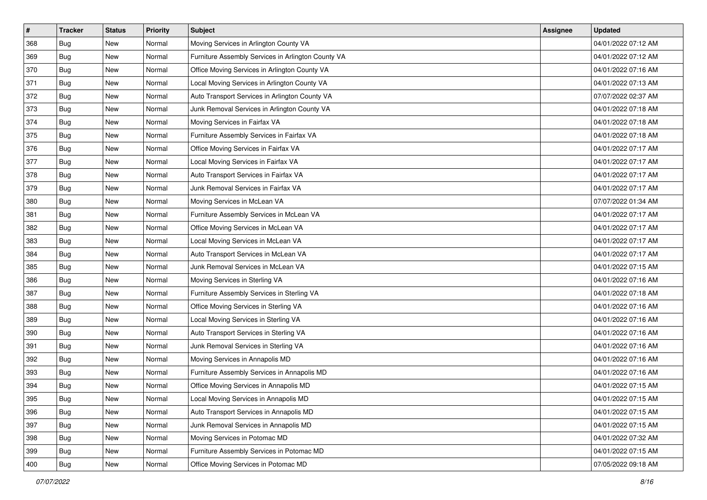| $\vert$ # | <b>Tracker</b> | <b>Status</b> | Priority | Subject                                            | Assignee | <b>Updated</b>      |
|-----------|----------------|---------------|----------|----------------------------------------------------|----------|---------------------|
| 368       | <b>Bug</b>     | New           | Normal   | Moving Services in Arlington County VA             |          | 04/01/2022 07:12 AM |
| 369       | <b>Bug</b>     | New           | Normal   | Furniture Assembly Services in Arlington County VA |          | 04/01/2022 07:12 AM |
| 370       | Bug            | New           | Normal   | Office Moving Services in Arlington County VA      |          | 04/01/2022 07:16 AM |
| 371       | <b>Bug</b>     | New           | Normal   | Local Moving Services in Arlington County VA       |          | 04/01/2022 07:13 AM |
| 372       | <b>Bug</b>     | <b>New</b>    | Normal   | Auto Transport Services in Arlington County VA     |          | 07/07/2022 02:37 AM |
| 373       | <b>Bug</b>     | New           | Normal   | Junk Removal Services in Arlington County VA       |          | 04/01/2022 07:18 AM |
| 374       | Bug            | New           | Normal   | Moving Services in Fairfax VA                      |          | 04/01/2022 07:18 AM |
| 375       | Bug            | New           | Normal   | Furniture Assembly Services in Fairfax VA          |          | 04/01/2022 07:18 AM |
| 376       | <b>Bug</b>     | New           | Normal   | Office Moving Services in Fairfax VA               |          | 04/01/2022 07:17 AM |
| 377       | <b>Bug</b>     | New           | Normal   | Local Moving Services in Fairfax VA                |          | 04/01/2022 07:17 AM |
| 378       | Bug            | New           | Normal   | Auto Transport Services in Fairfax VA              |          | 04/01/2022 07:17 AM |
| 379       | <b>Bug</b>     | New           | Normal   | Junk Removal Services in Fairfax VA                |          | 04/01/2022 07:17 AM |
| 380       | Bug            | <b>New</b>    | Normal   | Moving Services in McLean VA                       |          | 07/07/2022 01:34 AM |
| 381       | <b>Bug</b>     | New           | Normal   | Furniture Assembly Services in McLean VA           |          | 04/01/2022 07:17 AM |
| 382       | <b>Bug</b>     | New           | Normal   | Office Moving Services in McLean VA                |          | 04/01/2022 07:17 AM |
| 383       | <b>Bug</b>     | New           | Normal   | Local Moving Services in McLean VA                 |          | 04/01/2022 07:17 AM |
| 384       | <b>Bug</b>     | New           | Normal   | Auto Transport Services in McLean VA               |          | 04/01/2022 07:17 AM |
| 385       | <b>Bug</b>     | <b>New</b>    | Normal   | Junk Removal Services in McLean VA                 |          | 04/01/2022 07:15 AM |
| 386       | <b>Bug</b>     | New           | Normal   | Moving Services in Sterling VA                     |          | 04/01/2022 07:16 AM |
| 387       | <b>Bug</b>     | New           | Normal   | Furniture Assembly Services in Sterling VA         |          | 04/01/2022 07:18 AM |
| 388       | Bug            | New           | Normal   | Office Moving Services in Sterling VA              |          | 04/01/2022 07:16 AM |
| 389       | <b>Bug</b>     | New           | Normal   | Local Moving Services in Sterling VA               |          | 04/01/2022 07:16 AM |
| 390       | <b>Bug</b>     | <b>New</b>    | Normal   | Auto Transport Services in Sterling VA             |          | 04/01/2022 07:16 AM |
| 391       | Bug            | New           | Normal   | Junk Removal Services in Sterling VA               |          | 04/01/2022 07:16 AM |
| 392       | <b>Bug</b>     | New           | Normal   | Moving Services in Annapolis MD                    |          | 04/01/2022 07:16 AM |
| 393       | <b>Bug</b>     | <b>New</b>    | Normal   | Furniture Assembly Services in Annapolis MD        |          | 04/01/2022 07:16 AM |
| 394       | <b>Bug</b>     | New           | Normal   | Office Moving Services in Annapolis MD             |          | 04/01/2022 07:15 AM |
| 395       | Bug            | New           | Normal   | Local Moving Services in Annapolis MD              |          | 04/01/2022 07:15 AM |
| 396       | <b>Bug</b>     | New           | Normal   | Auto Transport Services in Annapolis MD            |          | 04/01/2022 07:15 AM |
| 397       | <b>Bug</b>     | New           | Normal   | Junk Removal Services in Annapolis MD              |          | 04/01/2022 07:15 AM |
| 398       | <b>Bug</b>     | New           | Normal   | Moving Services in Potomac MD                      |          | 04/01/2022 07:32 AM |
| 399       | <b>Bug</b>     | New           | Normal   | Furniture Assembly Services in Potomac MD          |          | 04/01/2022 07:15 AM |
| 400       | <b>Bug</b>     | New           | Normal   | Office Moving Services in Potomac MD               |          | 07/05/2022 09:18 AM |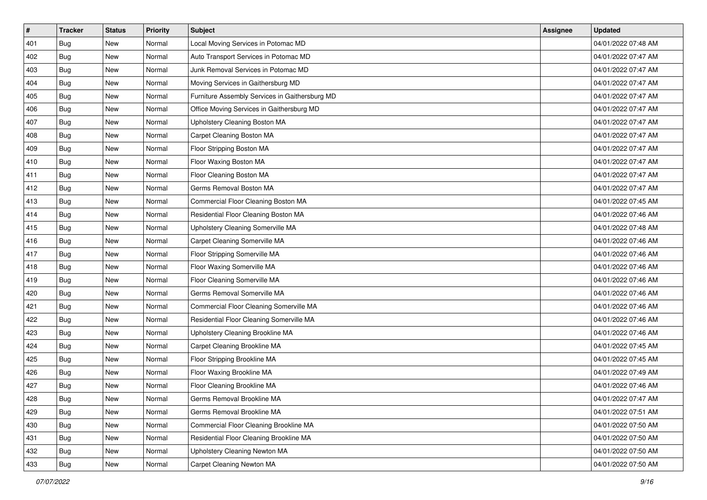| #   | <b>Tracker</b> | <b>Status</b> | <b>Priority</b> | Subject                                        | <b>Assignee</b> | <b>Updated</b>      |
|-----|----------------|---------------|-----------------|------------------------------------------------|-----------------|---------------------|
| 401 | Bug            | New           | Normal          | Local Moving Services in Potomac MD            |                 | 04/01/2022 07:48 AM |
| 402 | Bug            | New           | Normal          | Auto Transport Services in Potomac MD          |                 | 04/01/2022 07:47 AM |
| 403 | Bug            | New           | Normal          | Junk Removal Services in Potomac MD            |                 | 04/01/2022 07:47 AM |
| 404 | <b>Bug</b>     | New           | Normal          | Moving Services in Gaithersburg MD             |                 | 04/01/2022 07:47 AM |
| 405 | <b>Bug</b>     | <b>New</b>    | Normal          | Furniture Assembly Services in Gaithersburg MD |                 | 04/01/2022 07:47 AM |
| 406 | Bug            | New           | Normal          | Office Moving Services in Gaithersburg MD      |                 | 04/01/2022 07:47 AM |
| 407 | <b>Bug</b>     | New           | Normal          | Upholstery Cleaning Boston MA                  |                 | 04/01/2022 07:47 AM |
| 408 | Bug            | New           | Normal          | Carpet Cleaning Boston MA                      |                 | 04/01/2022 07:47 AM |
| 409 | <b>Bug</b>     | New           | Normal          | Floor Stripping Boston MA                      |                 | 04/01/2022 07:47 AM |
| 410 | Bug            | <b>New</b>    | Normal          | Floor Waxing Boston MA                         |                 | 04/01/2022 07:47 AM |
| 411 | Bug            | New           | Normal          | Floor Cleaning Boston MA                       |                 | 04/01/2022 07:47 AM |
| 412 | Bug            | New           | Normal          | Germs Removal Boston MA                        |                 | 04/01/2022 07:47 AM |
| 413 | Bug            | <b>New</b>    | Normal          | Commercial Floor Cleaning Boston MA            |                 | 04/01/2022 07:45 AM |
| 414 | <b>Bug</b>     | New           | Normal          | Residential Floor Cleaning Boston MA           |                 | 04/01/2022 07:46 AM |
| 415 | <b>Bug</b>     | New           | Normal          | Upholstery Cleaning Somerville MA              |                 | 04/01/2022 07:48 AM |
| 416 | Bug            | New           | Normal          | Carpet Cleaning Somerville MA                  |                 | 04/01/2022 07:46 AM |
| 417 | <b>Bug</b>     | New           | Normal          | Floor Stripping Somerville MA                  |                 | 04/01/2022 07:46 AM |
| 418 | <b>Bug</b>     | <b>New</b>    | Normal          | Floor Waxing Somerville MA                     |                 | 04/01/2022 07:46 AM |
| 419 | <b>Bug</b>     | New           | Normal          | Floor Cleaning Somerville MA                   |                 | 04/01/2022 07:46 AM |
| 420 | <b>Bug</b>     | New           | Normal          | Germs Removal Somerville MA                    |                 | 04/01/2022 07:46 AM |
| 421 | Bug            | New           | Normal          | Commercial Floor Cleaning Somerville MA        |                 | 04/01/2022 07:46 AM |
| 422 | <b>Bug</b>     | <b>New</b>    | Normal          | Residential Floor Cleaning Somerville MA       |                 | 04/01/2022 07:46 AM |
| 423 | <b>Bug</b>     | <b>New</b>    | Normal          | Upholstery Cleaning Brookline MA               |                 | 04/01/2022 07:46 AM |
| 424 | Bug            | New           | Normal          | Carpet Cleaning Brookline MA                   |                 | 04/01/2022 07:45 AM |
| 425 | <b>Bug</b>     | New           | Normal          | Floor Stripping Brookline MA                   |                 | 04/01/2022 07:45 AM |
| 426 | <b>Bug</b>     | <b>New</b>    | Normal          | Floor Waxing Brookline MA                      |                 | 04/01/2022 07:49 AM |
| 427 | <b>Bug</b>     | New           | Normal          | Floor Cleaning Brookline MA                    |                 | 04/01/2022 07:46 AM |
| 428 | Bug            | New           | Normal          | Germs Removal Brookline MA                     |                 | 04/01/2022 07:47 AM |
| 429 | <b>Bug</b>     | New           | Normal          | Germs Removal Brookline MA                     |                 | 04/01/2022 07:51 AM |
| 430 | <b>Bug</b>     | New           | Normal          | Commercial Floor Cleaning Brookline MA         |                 | 04/01/2022 07:50 AM |
| 431 | <b>Bug</b>     | New           | Normal          | Residential Floor Cleaning Brookline MA        |                 | 04/01/2022 07:50 AM |
| 432 | <b>Bug</b>     | New           | Normal          | Upholstery Cleaning Newton MA                  |                 | 04/01/2022 07:50 AM |
| 433 | <b>Bug</b>     | New           | Normal          | Carpet Cleaning Newton MA                      |                 | 04/01/2022 07:50 AM |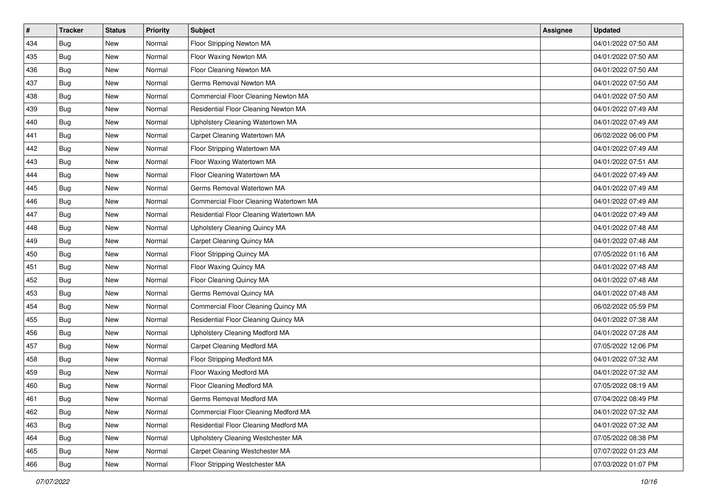| $\pmb{\#}$ | <b>Tracker</b> | <b>Status</b> | Priority | Subject                                 | <b>Assignee</b> | <b>Updated</b>      |
|------------|----------------|---------------|----------|-----------------------------------------|-----------------|---------------------|
| 434        | Bug            | New           | Normal   | Floor Stripping Newton MA               |                 | 04/01/2022 07:50 AM |
| 435        | <b>Bug</b>     | New           | Normal   | Floor Waxing Newton MA                  |                 | 04/01/2022 07:50 AM |
| 436        | Bug            | New           | Normal   | Floor Cleaning Newton MA                |                 | 04/01/2022 07:50 AM |
| 437        | <b>Bug</b>     | New           | Normal   | Germs Removal Newton MA                 |                 | 04/01/2022 07:50 AM |
| 438        | <b>Bug</b>     | <b>New</b>    | Normal   | Commercial Floor Cleaning Newton MA     |                 | 04/01/2022 07:50 AM |
| 439        | <b>Bug</b>     | New           | Normal   | Residential Floor Cleaning Newton MA    |                 | 04/01/2022 07:49 AM |
| 440        | <b>Bug</b>     | New           | Normal   | Upholstery Cleaning Watertown MA        |                 | 04/01/2022 07:49 AM |
| 441        | Bug            | New           | Normal   | Carpet Cleaning Watertown MA            |                 | 06/02/2022 06:00 PM |
| 442        | <b>Bug</b>     | New           | Normal   | Floor Stripping Watertown MA            |                 | 04/01/2022 07:49 AM |
| 443        | <b>Bug</b>     | <b>New</b>    | Normal   | Floor Waxing Watertown MA               |                 | 04/01/2022 07:51 AM |
| 444        | <b>Bug</b>     | New           | Normal   | Floor Cleaning Watertown MA             |                 | 04/01/2022 07:49 AM |
| 445        | Bug            | New           | Normal   | Germs Removal Watertown MA              |                 | 04/01/2022 07:49 AM |
| 446        | <b>Bug</b>     | <b>New</b>    | Normal   | Commercial Floor Cleaning Watertown MA  |                 | 04/01/2022 07:49 AM |
| 447        | <b>Bug</b>     | New           | Normal   | Residential Floor Cleaning Watertown MA |                 | 04/01/2022 07:49 AM |
| 448        | <b>Bug</b>     | New           | Normal   | Upholstery Cleaning Quincy MA           |                 | 04/01/2022 07:48 AM |
| 449        | <b>Bug</b>     | New           | Normal   | Carpet Cleaning Quincy MA               |                 | 04/01/2022 07:48 AM |
| 450        | <b>Bug</b>     | New           | Normal   | Floor Stripping Quincy MA               |                 | 07/05/2022 01:16 AM |
| 451        | Bug            | <b>New</b>    | Normal   | Floor Waxing Quincy MA                  |                 | 04/01/2022 07:48 AM |
| 452        | <b>Bug</b>     | New           | Normal   | Floor Cleaning Quincy MA                |                 | 04/01/2022 07:48 AM |
| 453        | <b>Bug</b>     | New           | Normal   | Germs Removal Quincy MA                 |                 | 04/01/2022 07:48 AM |
| 454        | <b>Bug</b>     | New           | Normal   | Commercial Floor Cleaning Quincy MA     |                 | 06/02/2022 05:59 PM |
| 455        | <b>Bug</b>     | <b>New</b>    | Normal   | Residential Floor Cleaning Quincy MA    |                 | 04/01/2022 07:38 AM |
| 456        | <b>Bug</b>     | <b>New</b>    | Normal   | Upholstery Cleaning Medford MA          |                 | 04/01/2022 07:28 AM |
| 457        | <b>Bug</b>     | New           | Normal   | Carpet Cleaning Medford MA              |                 | 07/05/2022 12:06 PM |
| 458        | <b>Bug</b>     | New           | Normal   | Floor Stripping Medford MA              |                 | 04/01/2022 07:32 AM |
| 459        | <b>Bug</b>     | New           | Normal   | Floor Waxing Medford MA                 |                 | 04/01/2022 07:32 AM |
| 460        | <b>Bug</b>     | New           | Normal   | Floor Cleaning Medford MA               |                 | 07/05/2022 08:19 AM |
| 461        | <b>Bug</b>     | New           | Normal   | Germs Removal Medford MA                |                 | 07/04/2022 08:49 PM |
| 462        | Bug            | New           | Normal   | Commercial Floor Cleaning Medford MA    |                 | 04/01/2022 07:32 AM |
| 463        | Bug            | New           | Normal   | Residential Floor Cleaning Medford MA   |                 | 04/01/2022 07:32 AM |
| 464        | <b>Bug</b>     | New           | Normal   | Upholstery Cleaning Westchester MA      |                 | 07/05/2022 08:38 PM |
| 465        | Bug            | New           | Normal   | Carpet Cleaning Westchester MA          |                 | 07/07/2022 01:23 AM |
| 466        | Bug            | New           | Normal   | Floor Stripping Westchester MA          |                 | 07/03/2022 01:07 PM |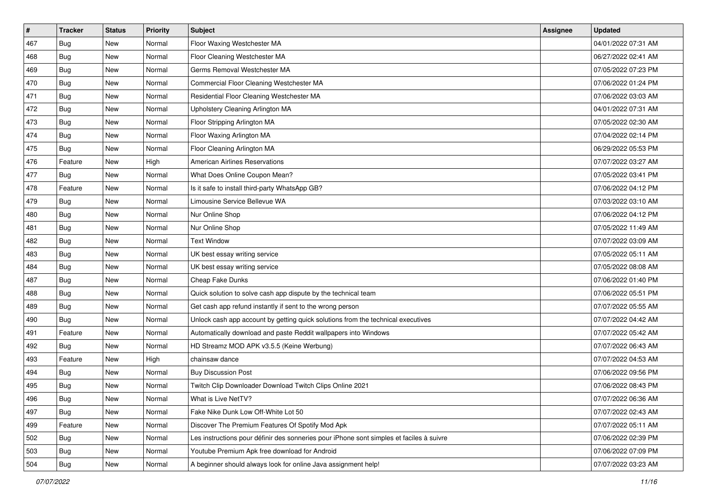| $\sharp$ | <b>Tracker</b> | <b>Status</b> | <b>Priority</b> | Subject                                                                                  | <b>Assignee</b> | <b>Updated</b>      |
|----------|----------------|---------------|-----------------|------------------------------------------------------------------------------------------|-----------------|---------------------|
| 467      | Bug            | <b>New</b>    | Normal          | Floor Waxing Westchester MA                                                              |                 | 04/01/2022 07:31 AM |
| 468      | <b>Bug</b>     | <b>New</b>    | Normal          | Floor Cleaning Westchester MA                                                            |                 | 06/27/2022 02:41 AM |
| 469      | Bug            | <b>New</b>    | Normal          | Germs Removal Westchester MA                                                             |                 | 07/05/2022 07:23 PM |
| 470      | Bug            | <b>New</b>    | Normal          | Commercial Floor Cleaning Westchester MA                                                 |                 | 07/06/2022 01:24 PM |
| 471      | Bug            | <b>New</b>    | Normal          | Residential Floor Cleaning Westchester MA                                                |                 | 07/06/2022 03:03 AM |
| 472      | Bug            | <b>New</b>    | Normal          | Upholstery Cleaning Arlington MA                                                         |                 | 04/01/2022 07:31 AM |
| 473      | Bug            | <b>New</b>    | Normal          | Floor Stripping Arlington MA                                                             |                 | 07/05/2022 02:30 AM |
| 474      | Bug            | <b>New</b>    | Normal          | Floor Waxing Arlington MA                                                                |                 | 07/04/2022 02:14 PM |
| 475      | Bug            | <b>New</b>    | Normal          | Floor Cleaning Arlington MA                                                              |                 | 06/29/2022 05:53 PM |
| 476      | Feature        | <b>New</b>    | High            | <b>American Airlines Reservations</b>                                                    |                 | 07/07/2022 03:27 AM |
| 477      | Bug            | <b>New</b>    | Normal          | What Does Online Coupon Mean?                                                            |                 | 07/05/2022 03:41 PM |
| 478      | Feature        | <b>New</b>    | Normal          | Is it safe to install third-party WhatsApp GB?                                           |                 | 07/06/2022 04:12 PM |
| 479      | Bug            | <b>New</b>    | Normal          | Limousine Service Bellevue WA                                                            |                 | 07/03/2022 03:10 AM |
| 480      | Bug            | <b>New</b>    | Normal          | Nur Online Shop                                                                          |                 | 07/06/2022 04:12 PM |
| 481      | <b>Bug</b>     | <b>New</b>    | Normal          | Nur Online Shop                                                                          |                 | 07/05/2022 11:49 AM |
| 482      | Bug            | <b>New</b>    | Normal          | <b>Text Window</b>                                                                       |                 | 07/07/2022 03:09 AM |
| 483      | Bug            | <b>New</b>    | Normal          | UK best essay writing service                                                            |                 | 07/05/2022 05:11 AM |
| 484      | Bug            | <b>New</b>    | Normal          | UK best essay writing service                                                            |                 | 07/05/2022 08:08 AM |
| 487      | Bug            | <b>New</b>    | Normal          | Cheap Fake Dunks                                                                         |                 | 07/06/2022 01:40 PM |
| 488      | Bug            | <b>New</b>    | Normal          | Quick solution to solve cash app dispute by the technical team                           |                 | 07/06/2022 05:51 PM |
| 489      | Bug            | <b>New</b>    | Normal          | Get cash app refund instantly if sent to the wrong person                                |                 | 07/07/2022 05:55 AM |
| 490      | Bug            | <b>New</b>    | Normal          | Unlock cash app account by getting quick solutions from the technical executives         |                 | 07/07/2022 04:42 AM |
| 491      | Feature        | <b>New</b>    | Normal          | Automatically download and paste Reddit wallpapers into Windows                          |                 | 07/07/2022 05:42 AM |
| 492      | Bug            | <b>New</b>    | Normal          | HD Streamz MOD APK v3.5.5 (Keine Werbung)                                                |                 | 07/07/2022 06:43 AM |
| 493      | Feature        | New           | High            | chainsaw dance                                                                           |                 | 07/07/2022 04:53 AM |
| 494      | Bug            | <b>New</b>    | Normal          | <b>Buy Discussion Post</b>                                                               |                 | 07/06/2022 09:56 PM |
| 495      | Bug            | <b>New</b>    | Normal          | Twitch Clip Downloader Download Twitch Clips Online 2021                                 |                 | 07/06/2022 08:43 PM |
| 496      | i Bug          | New           | Normal          | What is Live NetTV?                                                                      |                 | 07/07/2022 06:36 AM |
| 497      | Bug            | New           | Normal          | Fake Nike Dunk Low Off-White Lot 50                                                      |                 | 07/07/2022 02:43 AM |
| 499      | Feature        | New           | Normal          | Discover The Premium Features Of Spotify Mod Apk                                         |                 | 07/07/2022 05:11 AM |
| 502      | Bug            | New           | Normal          | Les instructions pour définir des sonneries pour iPhone sont simples et faciles à suivre |                 | 07/06/2022 02:39 PM |
| 503      | Bug            | New           | Normal          | Youtube Premium Apk free download for Android                                            |                 | 07/06/2022 07:09 PM |
| 504      | <b>Bug</b>     | New           | Normal          | A beginner should always look for online Java assignment help!                           |                 | 07/07/2022 03:23 AM |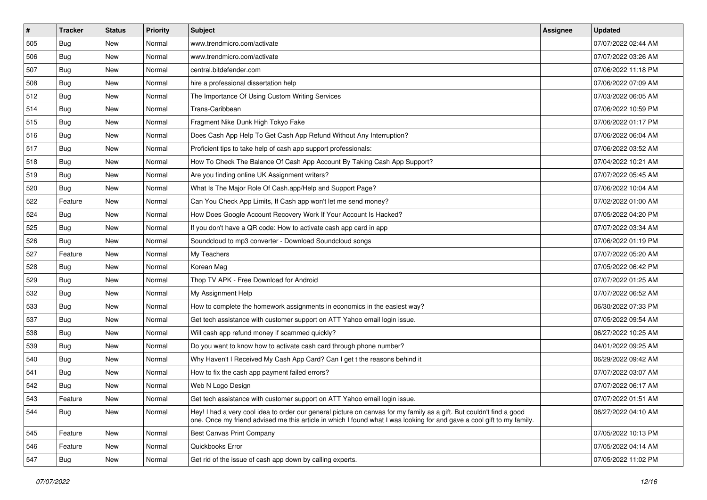| #   | <b>Tracker</b> | <b>Status</b> | <b>Priority</b> | <b>Subject</b>                                                                                                                                                                                                                                 | Assignee | <b>Updated</b>      |
|-----|----------------|---------------|-----------------|------------------------------------------------------------------------------------------------------------------------------------------------------------------------------------------------------------------------------------------------|----------|---------------------|
| 505 | Bug            | New           | Normal          | www.trendmicro.com/activate                                                                                                                                                                                                                    |          | 07/07/2022 02:44 AM |
| 506 | <b>Bug</b>     | <b>New</b>    | Normal          | www.trendmicro.com/activate                                                                                                                                                                                                                    |          | 07/07/2022 03:26 AM |
| 507 | Bug            | New           | Normal          | central.bitdefender.com                                                                                                                                                                                                                        |          | 07/06/2022 11:18 PM |
| 508 | Bug            | New           | Normal          | hire a professional dissertation help                                                                                                                                                                                                          |          | 07/06/2022 07:09 AM |
| 512 | Bug            | <b>New</b>    | Normal          | The Importance Of Using Custom Writing Services                                                                                                                                                                                                |          | 07/03/2022 06:05 AM |
| 514 | Bug            | New           | Normal          | Trans-Caribbean                                                                                                                                                                                                                                |          | 07/06/2022 10:59 PM |
| 515 | Bug            | <b>New</b>    | Normal          | Fragment Nike Dunk High Tokyo Fake                                                                                                                                                                                                             |          | 07/06/2022 01:17 PM |
| 516 | Bug            | New           | Normal          | Does Cash App Help To Get Cash App Refund Without Any Interruption?                                                                                                                                                                            |          | 07/06/2022 06:04 AM |
| 517 | Bug            | New           | Normal          | Proficient tips to take help of cash app support professionals:                                                                                                                                                                                |          | 07/06/2022 03:52 AM |
| 518 | Bug            | <b>New</b>    | Normal          | How To Check The Balance Of Cash App Account By Taking Cash App Support?                                                                                                                                                                       |          | 07/04/2022 10:21 AM |
| 519 | Bug            | New           | Normal          | Are you finding online UK Assignment writers?                                                                                                                                                                                                  |          | 07/07/2022 05:45 AM |
| 520 | Bug            | New           | Normal          | What Is The Major Role Of Cash.app/Help and Support Page?                                                                                                                                                                                      |          | 07/06/2022 10:04 AM |
| 522 | Feature        | New           | Normal          | Can You Check App Limits, If Cash app won't let me send money?                                                                                                                                                                                 |          | 07/02/2022 01:00 AM |
| 524 | Bug            | <b>New</b>    | Normal          | How Does Google Account Recovery Work If Your Account Is Hacked?                                                                                                                                                                               |          | 07/05/2022 04:20 PM |
| 525 | <b>Bug</b>     | <b>New</b>    | Normal          | If you don't have a QR code: How to activate cash app card in app                                                                                                                                                                              |          | 07/07/2022 03:34 AM |
| 526 | Bug            | <b>New</b>    | Normal          | Soundcloud to mp3 converter - Download Soundcloud songs                                                                                                                                                                                        |          | 07/06/2022 01:19 PM |
| 527 | Feature        | New           | Normal          | My Teachers                                                                                                                                                                                                                                    |          | 07/07/2022 05:20 AM |
| 528 | Bug            | New           | Normal          | Korean Mag                                                                                                                                                                                                                                     |          | 07/05/2022 06:42 PM |
| 529 | Bug            | New           | Normal          | Thop TV APK - Free Download for Android                                                                                                                                                                                                        |          | 07/07/2022 01:25 AM |
| 532 | <b>Bug</b>     | New           | Normal          | My Assignment Help                                                                                                                                                                                                                             |          | 07/07/2022 06:52 AM |
| 533 | Bug            | New           | Normal          | How to complete the homework assignments in economics in the easiest way?                                                                                                                                                                      |          | 06/30/2022 07:33 PM |
| 537 | Bug            | New           | Normal          | Get tech assistance with customer support on ATT Yahoo email login issue.                                                                                                                                                                      |          | 07/05/2022 09:54 AM |
| 538 | <b>Bug</b>     | <b>New</b>    | Normal          | Will cash app refund money if scammed quickly?                                                                                                                                                                                                 |          | 06/27/2022 10:25 AM |
| 539 | Bug            | New           | Normal          | Do you want to know how to activate cash card through phone number?                                                                                                                                                                            |          | 04/01/2022 09:25 AM |
| 540 | <b>Bug</b>     | <b>New</b>    | Normal          | Why Haven't I Received My Cash App Card? Can I get t the reasons behind it                                                                                                                                                                     |          | 06/29/2022 09:42 AM |
| 541 | Bug            | New           | Normal          | How to fix the cash app payment failed errors?                                                                                                                                                                                                 |          | 07/07/2022 03:07 AM |
| 542 | Bug            | <b>New</b>    | Normal          | Web N Logo Design                                                                                                                                                                                                                              |          | 07/07/2022 06:17 AM |
| 543 | Feature        | New           | Normal          | Get tech assistance with customer support on ATT Yahoo email login issue.                                                                                                                                                                      |          | 07/07/2022 01:51 AM |
| 544 | Bug            | New           | Normal          | Hey! I had a very cool idea to order our general picture on canvas for my family as a gift. But couldn't find a good<br>one. Once my friend advised me this article in which I found what I was looking for and gave a cool gift to my family. |          | 06/27/2022 04:10 AM |
| 545 | Feature        | New           | Normal          | <b>Best Canvas Print Company</b>                                                                                                                                                                                                               |          | 07/05/2022 10:13 PM |
| 546 | Feature        | New           | Normal          | Quickbooks Error                                                                                                                                                                                                                               |          | 07/05/2022 04:14 AM |
| 547 | <b>Bug</b>     | New           | Normal          | Get rid of the issue of cash app down by calling experts.                                                                                                                                                                                      |          | 07/05/2022 11:02 PM |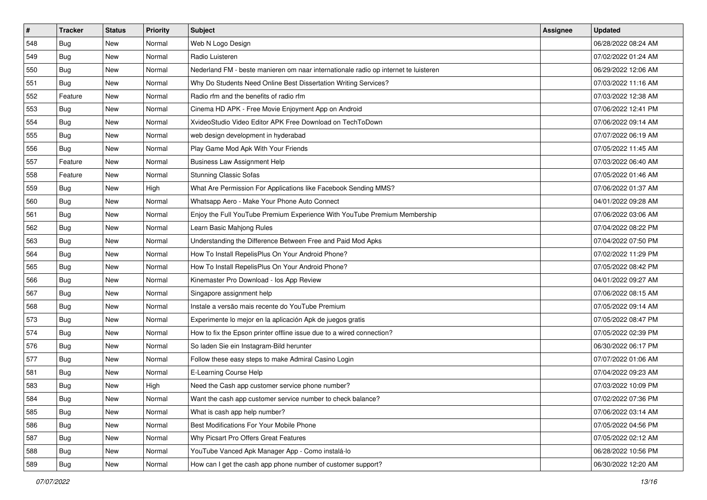| $\pmb{\#}$ | Tracker    | <b>Status</b> | <b>Priority</b> | Subject                                                                             | <b>Assignee</b> | <b>Updated</b>      |
|------------|------------|---------------|-----------------|-------------------------------------------------------------------------------------|-----------------|---------------------|
| 548        | Bug        | New           | Normal          | Web N Logo Design                                                                   |                 | 06/28/2022 08:24 AM |
| 549        | <b>Bug</b> | New           | Normal          | Radio Luisteren                                                                     |                 | 07/02/2022 01:24 AM |
| 550        | Bug        | New           | Normal          | Nederland FM - beste manieren om naar internationale radio op internet te luisteren |                 | 06/29/2022 12:06 AM |
| 551        | <b>Bug</b> | New           | Normal          | Why Do Students Need Online Best Dissertation Writing Services?                     |                 | 07/03/2022 11:16 AM |
| 552        | Feature    | <b>New</b>    | Normal          | Radio rfm and the benefits of radio rfm                                             |                 | 07/03/2022 12:38 AM |
| 553        | Bug        | New           | Normal          | Cinema HD APK - Free Movie Enjoyment App on Android                                 |                 | 07/06/2022 12:41 PM |
| 554        | Bug        | New           | Normal          | XvideoStudio Video Editor APK Free Download on TechToDown                           |                 | 07/06/2022 09:14 AM |
| 555        | <b>Bug</b> | New           | Normal          | web design development in hyderabad                                                 |                 | 07/07/2022 06:19 AM |
| 556        | <b>Bug</b> | New           | Normal          | Play Game Mod Apk With Your Friends                                                 |                 | 07/05/2022 11:45 AM |
| 557        | Feature    | <b>New</b>    | Normal          | <b>Business Law Assignment Help</b>                                                 |                 | 07/03/2022 06:40 AM |
| 558        | Feature    | New           | Normal          | <b>Stunning Classic Sofas</b>                                                       |                 | 07/05/2022 01:46 AM |
| 559        | Bug        | New           | High            | What Are Permission For Applications like Facebook Sending MMS?                     |                 | 07/06/2022 01:37 AM |
| 560        | Bug        | <b>New</b>    | Normal          | Whatsapp Aero - Make Your Phone Auto Connect                                        |                 | 04/01/2022 09:28 AM |
| 561        | <b>Bug</b> | New           | Normal          | Enjoy the Full YouTube Premium Experience With YouTube Premium Membership           |                 | 07/06/2022 03:06 AM |
| 562        | <b>Bug</b> | New           | Normal          | Learn Basic Mahjong Rules                                                           |                 | 07/04/2022 08:22 PM |
| 563        | Bug        | New           | Normal          | Understanding the Difference Between Free and Paid Mod Apks                         |                 | 07/04/2022 07:50 PM |
| 564        | Bug        | <b>New</b>    | Normal          | How To Install RepelisPlus On Your Android Phone?                                   |                 | 07/02/2022 11:29 PM |
| 565        | Bug        | <b>New</b>    | Normal          | How To Install RepelisPlus On Your Android Phone?                                   |                 | 07/05/2022 08:42 PM |
| 566        | Bug        | New           | Normal          | Kinemaster Pro Download - los App Review                                            |                 | 04/01/2022 09:27 AM |
| 567        | <b>Bug</b> | New           | Normal          | Singapore assignment help                                                           |                 | 07/06/2022 08:15 AM |
| 568        | <b>Bug</b> | New           | Normal          | Instale a versão mais recente do YouTube Premium                                    |                 | 07/05/2022 09:14 AM |
| 573        | <b>Bug</b> | New           | Normal          | Experimente lo mejor en la aplicación Apk de juegos gratis                          |                 | 07/05/2022 08:47 PM |
| 574        | Bug        | <b>New</b>    | Normal          | How to fix the Epson printer offline issue due to a wired connection?               |                 | 07/05/2022 02:39 PM |
| 576        | <b>Bug</b> | New           | Normal          | So laden Sie ein Instagram-Bild herunter                                            |                 | 06/30/2022 06:17 PM |
| 577        | Bug        | New           | Normal          | Follow these easy steps to make Admiral Casino Login                                |                 | 07/07/2022 01:06 AM |
| 581        | Bug        | <b>New</b>    | Normal          | E-Learning Course Help                                                              |                 | 07/04/2022 09:23 AM |
| 583        | <b>Bug</b> | New           | High            | Need the Cash app customer service phone number?                                    |                 | 07/03/2022 10:09 PM |
| 584        | <b>Bug</b> | New           | Normal          | Want the cash app customer service number to check balance?                         |                 | 07/02/2022 07:36 PM |
| 585        | Bug        | New           | Normal          | What is cash app help number?                                                       |                 | 07/06/2022 03:14 AM |
| 586        | Bug        | New           | Normal          | Best Modifications For Your Mobile Phone                                            |                 | 07/05/2022 04:56 PM |
| 587        | <b>Bug</b> | New           | Normal          | Why Picsart Pro Offers Great Features                                               |                 | 07/05/2022 02:12 AM |
| 588        | Bug        | New           | Normal          | YouTube Vanced Apk Manager App - Como instalá-lo                                    |                 | 06/28/2022 10:56 PM |
| 589        | <b>Bug</b> | New           | Normal          | How can I get the cash app phone number of customer support?                        |                 | 06/30/2022 12:20 AM |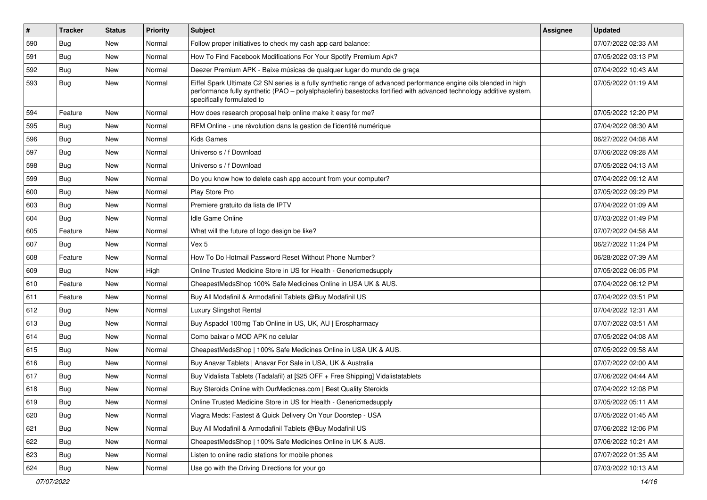| $\vert$ # | <b>Tracker</b> | <b>Status</b> | <b>Priority</b> | Subject                                                                                                                                                                                                                                                               | <b>Assignee</b> | <b>Updated</b>      |
|-----------|----------------|---------------|-----------------|-----------------------------------------------------------------------------------------------------------------------------------------------------------------------------------------------------------------------------------------------------------------------|-----------------|---------------------|
| 590       | Bug            | New           | Normal          | Follow proper initiatives to check my cash app card balance:                                                                                                                                                                                                          |                 | 07/07/2022 02:33 AM |
| 591       | Bug            | <b>New</b>    | Normal          | How To Find Facebook Modifications For Your Spotify Premium Apk?                                                                                                                                                                                                      |                 | 07/05/2022 03:13 PM |
| 592       | Bug            | New           | Normal          | Deezer Premium APK - Baixe músicas de qualquer lugar do mundo de graça                                                                                                                                                                                                |                 | 07/04/2022 10:43 AM |
| 593       | <b>Bug</b>     | New           | Normal          | Eiffel Spark Ultimate C2 SN series is a fully synthetic range of advanced performance engine oils blended in high<br>performance fully synthetic (PAO - polyalphaolefin) basestocks fortified with advanced technology additive system,<br>specifically formulated to |                 | 07/05/2022 01:19 AM |
| 594       | Feature        | New           | Normal          | How does research proposal help online make it easy for me?                                                                                                                                                                                                           |                 | 07/05/2022 12:20 PM |
| 595       | Bug            | <b>New</b>    | Normal          | RFM Online - une révolution dans la gestion de l'identité numérique                                                                                                                                                                                                   |                 | 07/04/2022 08:30 AM |
| 596       | Bug            | <b>New</b>    | Normal          | <b>Kids Games</b>                                                                                                                                                                                                                                                     |                 | 06/27/2022 04:08 AM |
| 597       | Bug            | <b>New</b>    | Normal          | Universo s / f Download                                                                                                                                                                                                                                               |                 | 07/06/2022 09:28 AM |
| 598       | Bug            | New           | Normal          | Universo s / f Download                                                                                                                                                                                                                                               |                 | 07/05/2022 04:13 AM |
| 599       | Bug            | New           | Normal          | Do you know how to delete cash app account from your computer?                                                                                                                                                                                                        |                 | 07/04/2022 09:12 AM |
| 600       | Bug            | <b>New</b>    | Normal          | Play Store Pro                                                                                                                                                                                                                                                        |                 | 07/05/2022 09:29 PM |
| 603       | <b>Bug</b>     | New           | Normal          | Premiere gratuito da lista de IPTV                                                                                                                                                                                                                                    |                 | 07/04/2022 01:09 AM |
| 604       | Bug            | <b>New</b>    | Normal          | Idle Game Online                                                                                                                                                                                                                                                      |                 | 07/03/2022 01:49 PM |
| 605       | Feature        | <b>New</b>    | Normal          | What will the future of logo design be like?                                                                                                                                                                                                                          |                 | 07/07/2022 04:58 AM |
| 607       | <b>Bug</b>     | New           | Normal          | Vex 5                                                                                                                                                                                                                                                                 |                 | 06/27/2022 11:24 PM |
| 608       | Feature        | <b>New</b>    | Normal          | How To Do Hotmail Password Reset Without Phone Number?                                                                                                                                                                                                                |                 | 06/28/2022 07:39 AM |
| 609       | Bug            | New           | High            | Online Trusted Medicine Store in US for Health - Genericmedsupply                                                                                                                                                                                                     |                 | 07/05/2022 06:05 PM |
| 610       | Feature        | New           | Normal          | CheapestMedsShop 100% Safe Medicines Online in USA UK & AUS.                                                                                                                                                                                                          |                 | 07/04/2022 06:12 PM |
| 611       | Feature        | <b>New</b>    | Normal          | Buy All Modafinil & Armodafinil Tablets @Buy Modafinil US                                                                                                                                                                                                             |                 | 07/04/2022 03:51 PM |
| 612       | <b>Bug</b>     | <b>New</b>    | Normal          | Luxury Slingshot Rental                                                                                                                                                                                                                                               |                 | 07/04/2022 12:31 AM |
| 613       | <b>Bug</b>     | <b>New</b>    | Normal          | Buy Aspadol 100mg Tab Online in US, UK, AU   Erospharmacy                                                                                                                                                                                                             |                 | 07/07/2022 03:51 AM |
| 614       | Bug            | New           | Normal          | Como baixar o MOD APK no celular                                                                                                                                                                                                                                      |                 | 07/05/2022 04:08 AM |
| 615       | Bug            | New           | Normal          | CheapestMedsShop   100% Safe Medicines Online in USA UK & AUS.                                                                                                                                                                                                        |                 | 07/05/2022 09:58 AM |
| 616       | Bug            | <b>New</b>    | Normal          | Buy Anavar Tablets   Anavar For Sale in USA, UK & Australia                                                                                                                                                                                                           |                 | 07/07/2022 02:00 AM |
| 617       | <b>Bug</b>     | New           | Normal          | Buy Vidalista Tablets (Tadalafil) at [\$25 OFF + Free Shipping] Vidalistatablets                                                                                                                                                                                      |                 | 07/06/2022 04:44 AM |
| 618       | <b>Bug</b>     | <b>New</b>    | Normal          | Buy Steroids Online with OurMedicnes.com   Best Quality Steroids                                                                                                                                                                                                      |                 | 07/04/2022 12:08 PM |
| 619       | <b>Bug</b>     | New           | Normal          | Online Trusted Medicine Store in US for Health - Genericmedsupply                                                                                                                                                                                                     |                 | 07/05/2022 05:11 AM |
| 620       | <b>Bug</b>     | <b>New</b>    | Normal          | Viagra Meds: Fastest & Quick Delivery On Your Doorstep - USA                                                                                                                                                                                                          |                 | 07/05/2022 01:45 AM |
| 621       | <b>Bug</b>     | New           | Normal          | Buy All Modafinil & Armodafinil Tablets @Buy Modafinil US                                                                                                                                                                                                             |                 | 07/06/2022 12:06 PM |
| 622       | <b>Bug</b>     | New           | Normal          | CheapestMedsShop   100% Safe Medicines Online in UK & AUS.                                                                                                                                                                                                            |                 | 07/06/2022 10:21 AM |
| 623       | <b>Bug</b>     | New           | Normal          | Listen to online radio stations for mobile phones                                                                                                                                                                                                                     |                 | 07/07/2022 01:35 AM |
| 624       | Bug            | New           | Normal          | Use go with the Driving Directions for your go                                                                                                                                                                                                                        |                 | 07/03/2022 10:13 AM |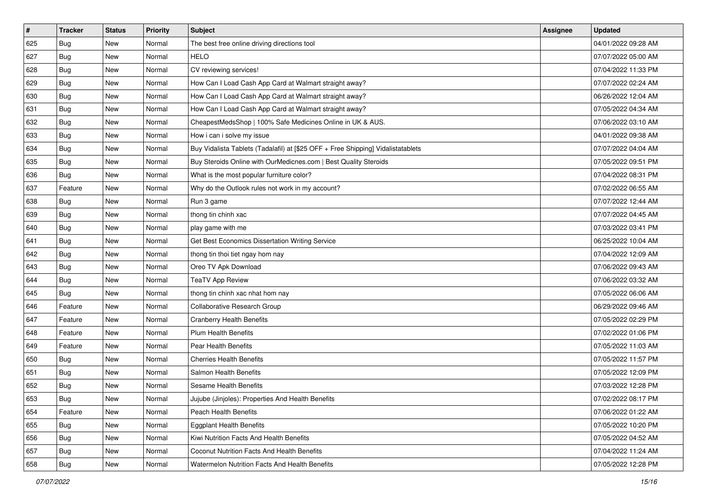| $\pmb{\#}$ | Tracker    | <b>Status</b> | Priority | Subject                                                                          | <b>Assignee</b> | <b>Updated</b>      |
|------------|------------|---------------|----------|----------------------------------------------------------------------------------|-----------------|---------------------|
| 625        | Bug        | New           | Normal   | The best free online driving directions tool                                     |                 | 04/01/2022 09:28 AM |
| 627        | <b>Bug</b> | New           | Normal   | <b>HELO</b>                                                                      |                 | 07/07/2022 05:00 AM |
| 628        | Bug        | New           | Normal   | CV reviewing services!                                                           |                 | 07/04/2022 11:33 PM |
| 629        | <b>Bug</b> | New           | Normal   | How Can I Load Cash App Card at Walmart straight away?                           |                 | 07/07/2022 02:24 AM |
| 630        | <b>Bug</b> | <b>New</b>    | Normal   | How Can I Load Cash App Card at Walmart straight away?                           |                 | 06/26/2022 12:04 AM |
| 631        | <b>Bug</b> | New           | Normal   | How Can I Load Cash App Card at Walmart straight away?                           |                 | 07/05/2022 04:34 AM |
| 632        | <b>Bug</b> | New           | Normal   | CheapestMedsShop   100% Safe Medicines Online in UK & AUS.                       |                 | 07/06/2022 03:10 AM |
| 633        | <b>Bug</b> | New           | Normal   | How i can i solve my issue                                                       |                 | 04/01/2022 09:38 AM |
| 634        | <b>Bug</b> | New           | Normal   | Buy Vidalista Tablets (Tadalafil) at [\$25 OFF + Free Shipping] Vidalistatablets |                 | 07/07/2022 04:04 AM |
| 635        | <b>Bug</b> | <b>New</b>    | Normal   | Buy Steroids Online with OurMedicnes.com   Best Quality Steroids                 |                 | 07/05/2022 09:51 PM |
| 636        | Bug        | New           | Normal   | What is the most popular furniture color?                                        |                 | 07/04/2022 08:31 PM |
| 637        | Feature    | New           | Normal   | Why do the Outlook rules not work in my account?                                 |                 | 07/02/2022 06:55 AM |
| 638        | Bug        | <b>New</b>    | Normal   | Run 3 game                                                                       |                 | 07/07/2022 12:44 AM |
| 639        | <b>Bug</b> | New           | Normal   | thong tin chinh xac                                                              |                 | 07/07/2022 04:45 AM |
| 640        | <b>Bug</b> | New           | Normal   | play game with me                                                                |                 | 07/03/2022 03:41 PM |
| 641        | <b>Bug</b> | New           | Normal   | Get Best Economics Dissertation Writing Service                                  |                 | 06/25/2022 10:04 AM |
| 642        | <b>Bug</b> | New           | Normal   | thong tin thoi tiet ngay hom nay                                                 |                 | 07/04/2022 12:09 AM |
| 643        | <b>Bug</b> | <b>New</b>    | Normal   | Oreo TV Apk Download                                                             |                 | 07/06/2022 09:43 AM |
| 644        | Bug        | New           | Normal   | <b>TeaTV App Review</b>                                                          |                 | 07/06/2022 03:32 AM |
| 645        | <b>Bug</b> | New           | Normal   | thong tin chinh xac nhat hom nay                                                 |                 | 07/05/2022 06:06 AM |
| 646        | Feature    | New           | Normal   | Collaborative Research Group                                                     |                 | 06/29/2022 09:46 AM |
| 647        | Feature    | <b>New</b>    | Normal   | <b>Cranberry Health Benefits</b>                                                 |                 | 07/05/2022 02:29 PM |
| 648        | Feature    | <b>New</b>    | Normal   | <b>Plum Health Benefits</b>                                                      |                 | 07/02/2022 01:06 PM |
| 649        | Feature    | New           | Normal   | Pear Health Benefits                                                             |                 | 07/05/2022 11:03 AM |
| 650        | <b>Bug</b> | New           | Normal   | <b>Cherries Health Benefits</b>                                                  |                 | 07/05/2022 11:57 PM |
| 651        | <b>Bug</b> | New           | Normal   | <b>Salmon Health Benefits</b>                                                    |                 | 07/05/2022 12:09 PM |
| 652        | <b>Bug</b> | New           | Normal   | <b>Sesame Health Benefits</b>                                                    |                 | 07/03/2022 12:28 PM |
| 653        | <b>Bug</b> | New           | Normal   | Jujube (Jinjoles): Properties And Health Benefits                                |                 | 07/02/2022 08:17 PM |
| 654        | Feature    | New           | Normal   | Peach Health Benefits                                                            |                 | 07/06/2022 01:22 AM |
| 655        | Bug        | New           | Normal   | <b>Eggplant Health Benefits</b>                                                  |                 | 07/05/2022 10:20 PM |
| 656        | <b>Bug</b> | New           | Normal   | Kiwi Nutrition Facts And Health Benefits                                         |                 | 07/05/2022 04:52 AM |
| 657        | Bug        | New           | Normal   | <b>Coconut Nutrition Facts And Health Benefits</b>                               |                 | 07/04/2022 11:24 AM |
| 658        | Bug        | New           | Normal   | Watermelon Nutrition Facts And Health Benefits                                   |                 | 07/05/2022 12:28 PM |